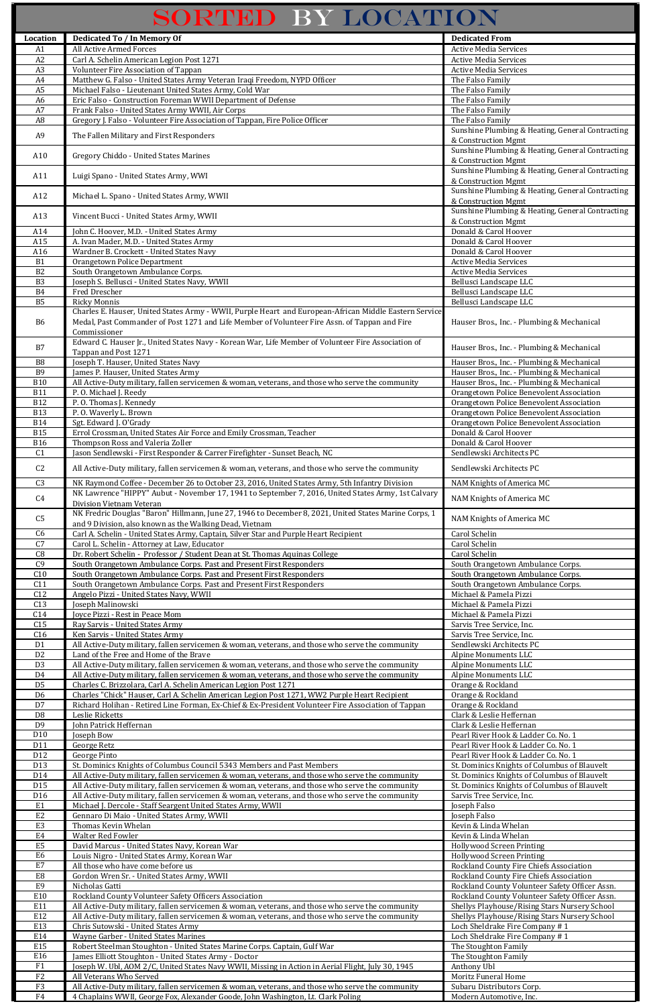## SORTED BY LOCATION

I

|                                   | SORTED BY LOCATION                                                                                                                                                                                   |                                                                                                |
|-----------------------------------|------------------------------------------------------------------------------------------------------------------------------------------------------------------------------------------------------|------------------------------------------------------------------------------------------------|
| Location                          | <b>Dedicated To / In Memory Of</b>                                                                                                                                                                   | <b>Dedicated From</b>                                                                          |
| A1                                | <b>All Active Armed Forces</b>                                                                                                                                                                       | <b>Active Media Services</b>                                                                   |
| A2                                | Carl A. Schelin American Legion Post 1271                                                                                                                                                            | <b>Active Media Services</b>                                                                   |
| A <sub>3</sub><br>A4              | Volunteer Fire Association of Tappan<br>Matthew G. Falso - United States Army Veteran Iraqi Freedom, NYPD Officer                                                                                    | <b>Active Media Services</b><br>The Falso Family                                               |
| A <sub>5</sub>                    | Michael Falso - Lieutenant United States Army, Cold War                                                                                                                                              | The Falso Family                                                                               |
| A <sub>6</sub>                    | Eric Falso - Construction Foreman WWII Department of Defense                                                                                                                                         | The Falso Family                                                                               |
| A7<br>A <sub>8</sub>              | Frank Falso - United States Army WWII, Air Corps<br>Gregory J. Falso - Volunteer Fire Association of Tappan, Fire Police Officer                                                                     | The Falso Family<br>The Falso Family                                                           |
|                                   |                                                                                                                                                                                                      | Sunshine Plumbing & Heating, General Contracting                                               |
| A <sub>9</sub>                    | The Fallen Military and First Responders                                                                                                                                                             | & Construction Mgmt                                                                            |
| A10                               | Gregory Chiddo - United States Marines                                                                                                                                                               | Sunshine Plumbing & Heating, General Contracting<br>& Construction Mgmt                        |
|                                   |                                                                                                                                                                                                      | Sunshine Plumbing & Heating, General Contracting                                               |
| A11                               | Luigi Spano - United States Army, WWI                                                                                                                                                                | & Construction Mgmt                                                                            |
| A12                               | Michael L. Spano - United States Army, WWII                                                                                                                                                          | Sunshine Plumbing & Heating, General Contracting<br>& Construction Mgmt                        |
|                                   |                                                                                                                                                                                                      | Sunshine Plumbing & Heating, General Contracting                                               |
| A13                               | Vincent Bucci - United States Army, WWII                                                                                                                                                             | & Construction Mgmt                                                                            |
| A14<br>A15                        | John C. Hoover, M.D. - United States Army<br>A. Ivan Mader, M.D. - United States Army                                                                                                                | Donald & Carol Hoover<br>Donald & Carol Hoover                                                 |
| A16                               | Wardner B. Crockett - United States Navy                                                                                                                                                             | Donald & Carol Hoover                                                                          |
| <b>B1</b>                         | Orangetown Police Department                                                                                                                                                                         | <b>Active Media Services</b>                                                                   |
| B <sub>2</sub>                    | South Orangetown Ambulance Corps.                                                                                                                                                                    | <b>Active Media Services</b>                                                                   |
| B <sub>3</sub><br><b>B4</b>       | Joseph S. Bellusci - United States Navy, WWII<br>Fred Drescher                                                                                                                                       | Bellusci Landscape LLC<br>Bellusci Landscape LLC                                               |
| B <sub>5</sub>                    | <b>Ricky Monnis</b>                                                                                                                                                                                  | Bellusci Landscape LLC                                                                         |
|                                   | Charles E. Hauser, United States Army - WWII, Purple Heart and European-African Middle Eastern Service                                                                                               |                                                                                                |
| B <sub>6</sub>                    | Medal, Past Commander of Post 1271 and Life Member of Volunteer Fire Assn. of Tappan and Fire<br>Commissioner                                                                                        | Hauser Bros., Inc. - Plumbing & Mechanical                                                     |
|                                   | Edward C. Hauser Jr., United States Navy - Korean War, Life Member of Volunteer Fire Association of                                                                                                  |                                                                                                |
| B7                                | Tappan and Post 1271                                                                                                                                                                                 | Hauser Bros., Inc. - Plumbing & Mechanical                                                     |
| $_{\rm B8}$<br><b>B9</b>          | Joseph T. Hauser, United States Navy<br>James P. Hauser, United States Army                                                                                                                          | Hauser Bros., Inc. - Plumbing & Mechanical<br>Hauser Bros., Inc. - Plumbing & Mechanical       |
| <b>B10</b>                        | All Active-Duty military, fallen servicemen & woman, veterans, and those who serve the community                                                                                                     | Hauser Bros., Inc. - Plumbing & Mechanical                                                     |
| <b>B11</b>                        | P.O. Michael J. Reedy                                                                                                                                                                                | Orangetown Police Benevolent Association                                                       |
| <b>B12</b><br><b>B13</b>          | P.O. Thomas J. Kennedy<br>P.O. Waverly L. Brown                                                                                                                                                      | Orangetown Police Benevolent Association<br>Orangetown Police Benevolent Association           |
| <b>B14</b>                        | Sgt. Edward J. O'Grady                                                                                                                                                                               | Orangetown Police Benevolent Association                                                       |
| <b>B15</b>                        | Errol Crossman, United States Air Force and Emily Crossman, Teacher                                                                                                                                  | Donald & Carol Hoover                                                                          |
| <b>B16</b>                        | Thompson Ross and Valeria Zoller                                                                                                                                                                     | Donald & Carol Hoover                                                                          |
| C <sub>1</sub>                    | Jason Sendlewski - First Responder & Carrer Firefighter - Sunset Beach, NC                                                                                                                           | Sendlewski Architects PC                                                                       |
| C <sub>2</sub>                    | All Active-Duty military, fallen servicemen & woman, veterans, and those who serve the community                                                                                                     | Sendlewski Architects PC                                                                       |
| C <sub>3</sub>                    | NK Raymond Coffee - December 26 to October 23, 2016, United States Army, 5th Infantry Division                                                                                                       | NAM Knights of America MC                                                                      |
| C <sub>4</sub>                    | NK Lawrence "HIPPY" Aubut - November 17, 1941 to September 7, 2016, United States Army, 1st Calvary<br>Division Vietnam Veteran                                                                      | NAM Knights of America MC                                                                      |
| C <sub>5</sub>                    | NK Fredric Douglas "Baron" Hillmann, June 27, 1946 to December 8, 2021, United States Marine Corps, 1                                                                                                | NAM Knights of America MC                                                                      |
|                                   | and 9 Division, also known as the Walking Dead, Vietnam                                                                                                                                              |                                                                                                |
| C6<br>$\overline{C7}$             | Carl A. Schelin - United States Army, Captain, Silver Star and Purple Heart Recipient<br>Carol L. Schelin - Attorney at Law, Educator                                                                | Carol Schelin<br>Carol Schelin                                                                 |
| C8                                | Dr. Robert Schelin - Professor / Student Dean at St. Thomas Aquinas College                                                                                                                          | Carol Schelin                                                                                  |
| C <sub>9</sub>                    | South Orangetown Ambulance Corps. Past and Present First Responders                                                                                                                                  | South Orangetown Ambulance Corps.                                                              |
| C10<br>C11                        | South Orangetown Ambulance Corps. Past and Present First Responders<br>South Orangetown Ambulance Corps. Past and Present First Responders                                                           | South Orangetown Ambulance Corps.<br>South Orangetown Ambulance Corps.                         |
| C12                               | Angelo Pizzi - United States Navy, WWII                                                                                                                                                              | Michael & Pamela Pizzi                                                                         |
| $\overline{C13}$                  | Joseph Malinowski                                                                                                                                                                                    | Michael & Pamela Pizzi                                                                         |
| C14<br>C <sub>15</sub>            | Joyce Pizzi - Rest in Peace Mom<br>Ray Sarvis - United States Army                                                                                                                                   | Michael & Pamela Pizzi<br>Sarvis Tree Service, Inc.                                            |
| C16                               | Ken Sarvis - United States Army                                                                                                                                                                      | Sarvis Tree Service, Inc.                                                                      |
| D <sub>1</sub>                    | All Active-Duty military, fallen servicemen & woman, veterans, and those who serve the community                                                                                                     | Sendlewski Architects PC                                                                       |
| D <sub>2</sub><br>$\overline{D3}$ | Land of the Free and Home of the Brave<br>All Active-Duty military, fallen servicemen & woman, veterans, and those who serve the community                                                           | <b>Alpine Monuments LLC</b><br>Alpine Monuments LLC                                            |
| D <sub>4</sub>                    | All Active-Duty military, fallen servicemen & woman, veterans, and those who serve the community                                                                                                     | <b>Alpine Monuments LLC</b>                                                                    |
| D <sub>5</sub>                    | Charles C. Brizzolara, Carl A. Schelin American Legion Post 1271                                                                                                                                     | Orange & Rockland                                                                              |
| D <sub>6</sub><br>D7              | Charles "Chick" Hauser, Carl A. Schelin American Legion Post 1271, WW2 Purple Heart Recipient<br>Richard Holihan - Retired Line Forman, Ex-Chief & Ex-President Volunteer Fire Association of Tappan | Orange & Rockland<br>Orange & Rockland                                                         |
| D <sub>8</sub>                    | Leslie Ricketts                                                                                                                                                                                      | Clark & Leslie Heffernan                                                                       |
| D <sub>9</sub>                    | John Patrick Heffernan                                                                                                                                                                               | Clark & Leslie Heffernan                                                                       |
| D10<br>D11                        | Joseph Bow<br>George Retz                                                                                                                                                                            | Pearl River Hook & Ladder Co. No. 1<br>Pearl River Hook & Ladder Co. No. 1                     |
| D12                               | George Pinto                                                                                                                                                                                         | Pearl River Hook & Ladder Co. No. 1                                                            |
| D13                               | St. Dominics Knights of Columbus Council 5343 Members and Past Members                                                                                                                               | St. Dominics Knights of Columbus of Blauvelt                                                   |
| D14<br>D15                        | All Active-Duty military, fallen servicemen & woman, veterans, and those who serve the community<br>All Active-Duty military, fallen servicemen & woman, veterans, and those who serve the community | St. Dominics Knights of Columbus of Blauvelt<br>St. Dominics Knights of Columbus of Blauvelt   |
| D <sub>16</sub>                   | All Active-Duty military, fallen servicemen & woman, veterans, and those who serve the community                                                                                                     | Sarvis Tree Service, Inc.                                                                      |
| E <sub>1</sub>                    | Michael J. Dercole - Staff Seargent United States Army, WWII                                                                                                                                         | Joseph Falso                                                                                   |
| E <sub>2</sub><br>E <sub>3</sub>  | Gennaro Di Maio - United States Army, WWII<br>Thomas Kevin Whelan                                                                                                                                    | Joseph Falso<br>Kevin & Linda Whelan                                                           |
| E4                                | <b>Walter Red Fowler</b>                                                                                                                                                                             | Kevin & Linda Whelan                                                                           |
| E <sub>5</sub>                    | David Marcus - United States Navy, Korean War                                                                                                                                                        | <b>Hollywood Screen Printing</b>                                                               |
| E6<br>E7                          | Louis Nigro - United States Army, Korean War<br>All those who have come before us                                                                                                                    | <b>Hollywood Screen Printing</b><br>Rockland County Fire Chiefs Association                    |
| ${\rm E}8$                        | Gordon Wren Sr. - United States Army, WWII                                                                                                                                                           | Rockland County Fire Chiefs Association                                                        |
| E9                                | Nicholas Gatti                                                                                                                                                                                       | Rockland County Volunteer Safety Officer Assn.                                                 |
| E10<br>E11                        | Rockland County Volunteer Safety Officers Association                                                                                                                                                | Rockland County Volunteer Safety Officer Assn.                                                 |
| E12                               | All Active-Duty military, fallen servicemen & woman, veterans, and those who serve the community<br>All Active-Duty military, fallen servicemen & woman, veterans, and those who serve the community | Shellys Playhouse/Rising Stars Nursery School<br>Shellys Playhouse/Rising Stars Nursery School |
| E13                               | Chris Sutowski - United States Army                                                                                                                                                                  | Loch Sheldrake Fire Company #1                                                                 |
| E14                               | <b>Wayne Garber - United States Marines</b>                                                                                                                                                          | Loch Sheldrake Fire Company #1                                                                 |
| E15<br>E16                        | Robert Steelman Stoughton - United States Marine Corps. Captain, Gulf War<br>James Elliott Stoughton - United States Army - Doctor                                                                   | The Stoughton Family<br>The Stoughton Family                                                   |
| F1                                | Joseph W. Ubl, AOM 2/C, United States Navy WWII, Missing in Action in Aerial Flight, July 30, 1945                                                                                                   | Anthony Ubl                                                                                    |
| F2                                | All Veterans Who Served                                                                                                                                                                              | Moritz Funeral Home                                                                            |
| F3<br>F4                          | All Active-Duty military, fallen servicemen & woman, veterans, and those who serve the community<br>4 Chaplains WWII, George Fox, Alexander Goode, John Washington, Lt. Clark Poling                 | Subaru Distributors Corp.<br>Modern Automotive, Inc.                                           |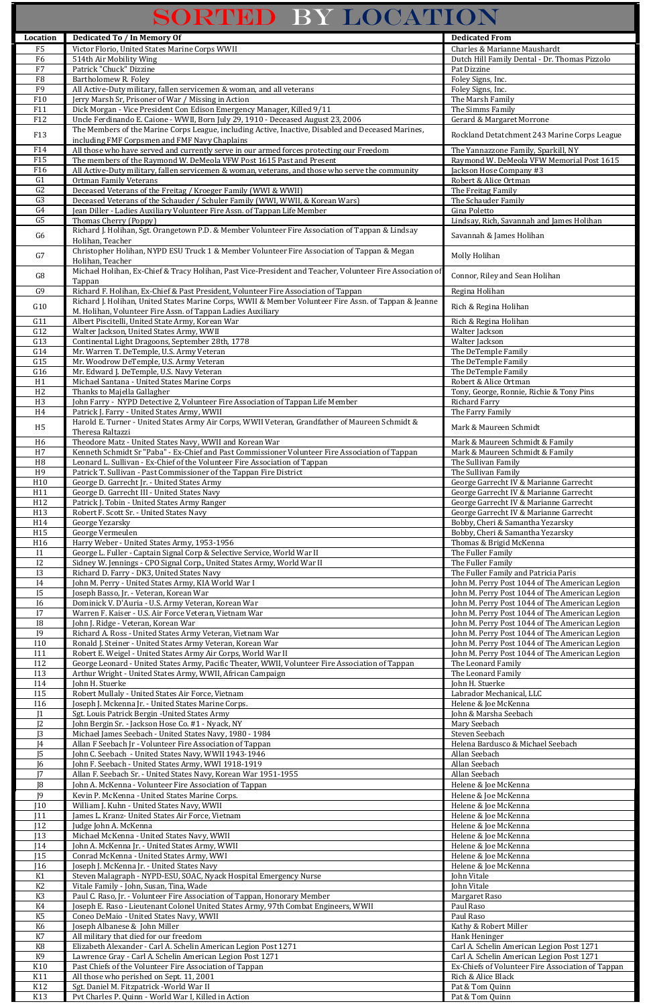## SORTED BY LOCATION

| Location                         | <b>Dedicated To / In Memory Of</b>                                                                                                                                | <b>Dedicated From</b>                                                                            |
|----------------------------------|-------------------------------------------------------------------------------------------------------------------------------------------------------------------|--------------------------------------------------------------------------------------------------|
| F <sub>5</sub>                   | Victor Florio, United States Marine Corps WWII                                                                                                                    | Charles & Marianne Maushardt                                                                     |
| F <sub>6</sub>                   | 514th Air Mobility Wing                                                                                                                                           | Dutch Hill Family Dental - Dr. Thomas Pizzolo                                                    |
| F7                               | Patrick "Chuck" Dizzine                                                                                                                                           | Pat Dizzine                                                                                      |
| F8                               | Bartholomew R. Foley                                                                                                                                              | Foley Signs, Inc.                                                                                |
| ${\rm F}9$                       | All Active-Duty military, fallen servicemen & woman, and all veterans                                                                                             | Foley Signs, Inc.                                                                                |
| F10<br>F11                       | Jerry Marsh Sr, Prisoner of War / Missing in Action<br>Dick Morgan - Vice President Con Edison Emergency Manager, Killed 9/11                                     | The Marsh Family<br>The Simms Family                                                             |
| F12                              | Uncle Ferdinando E. Caione - WWII, Born July 29, 1910 - Deceased August 23, 2006                                                                                  | Gerard & Margaret Morrone                                                                        |
|                                  | The Members of the Marine Corps League, including Active, Inactive, Disabled and Deceased Marines,                                                                |                                                                                                  |
| F13                              | including FMF Corpsmen and FMF Navy Chaplains                                                                                                                     | Rockland Detatchment 243 Marine Corps League                                                     |
| F14                              | All those who have served and currently serve in our armed forces protecting our Freedom                                                                          | The Yannazzone Family, Sparkill, NY                                                              |
| F15                              | The members of the Raymond W. DeMeola VFW Post 1615 Past and Present                                                                                              | Raymond W. DeMeola VFW Memorial Post 1615                                                        |
| F16                              | All Active-Duty military, fallen servicemen & woman, veterans, and those who serve the community                                                                  | Jackson Hose Company #3                                                                          |
| G1<br>G <sub>2</sub>             | <b>Ortman Family Veterans</b><br>Deceased Veterans of the Freitag / Kroeger Family (WWI & WWII)                                                                   | Robert & Alice Ortman<br>The Freitag Family                                                      |
| G <sub>3</sub>                   | Deceased Veterans of the Schauder / Schuler Family (WWI, WWII, & Korean Wars)                                                                                     | The Schauder Family                                                                              |
| $\overline{G4}$                  | Jean Diller - Ladies Auxiliary Volunteer Fire Assn. of Tappan Life Member                                                                                         | Gina Poletto                                                                                     |
| $\overline{G}$                   | Thomas Cherry (Poppy)                                                                                                                                             | Lindsay, Rich, Savannah and James Holihan                                                        |
| G <sub>6</sub>                   | Richard J. Holihan, Sgt. Orangetown P.D. & Member Volunteer Fire Association of Tappan & Lindsay                                                                  | Savannah & James Holihan                                                                         |
|                                  | Holihan, Teacher                                                                                                                                                  |                                                                                                  |
| G7                               | Christopher Holihan, NYPD ESU Truck 1 & Member Volunteer Fire Association of Tappan & Megan<br>Holihan, Teacher                                                   | Molly Holihan                                                                                    |
|                                  | Michael Holihan, Ex-Chief & Tracy Holihan, Past Vice-President and Teacher, Volunteer Fire Association of                                                         |                                                                                                  |
| ${\rm G}8$                       | Tappan                                                                                                                                                            | Connor, Riley and Sean Holihan                                                                   |
| G <sub>9</sub>                   | Richard F. Holihan, Ex-Chief & Past President, Volunteer Fire Association of Tappan                                                                               | Regina Holihan                                                                                   |
| G10                              | Richard J. Holihan, United States Marine Corps, WWII & Member Volunteer Fire Assn. of Tappan & Jeanne                                                             | Rich & Regina Holihan                                                                            |
|                                  | M. Holihan, Volunteer Fire Assn. of Tappan Ladies Auxiliary                                                                                                       |                                                                                                  |
| G11                              | Albert Piscitelli, United State Army, Korean War                                                                                                                  | Rich & Regina Holihan                                                                            |
| G12                              | Walter Jackson, United States Army, WWII                                                                                                                          | Walter Jackson                                                                                   |
| G13<br>G14                       | Continental Light Dragoons, September 28th, 1778<br>Mr. Warren T. DeTemple, U.S. Army Veteran                                                                     | Walter Jackson<br>The DeTemple Family                                                            |
| G15                              | Mr. Woodrow DeTemple, U.S. Army Veteran                                                                                                                           | The DeTemple Family                                                                              |
| G16                              | Mr. Edward J. DeTemple, U.S. Navy Veteran                                                                                                                         | The DeTemple Family                                                                              |
| H1                               | Michael Santana - United States Marine Corps                                                                                                                      | Robert & Alice Ortman                                                                            |
| H2                               | Thanks to Majella Gallagher                                                                                                                                       | Tony, George, Ronnie, Richie & Tony Pins                                                         |
| H <sub>3</sub>                   | John Farry - NYPD Detective 2, Volunteer Fire Association of Tappan Life Member                                                                                   | <b>Richard Farry</b>                                                                             |
| H <sub>4</sub>                   | Patrick J. Farry - United States Army, WWII                                                                                                                       | The Farry Family                                                                                 |
| H <sub>5</sub>                   | Harold E. Turner - United States Army Air Corps, WWII Veteran, Grandfather of Maureen Schmidt &<br>Theresa Raltazzi                                               | Mark & Maureen Schmidt                                                                           |
| H <sub>6</sub>                   | Theodore Matz - United States Navy, WWII and Korean War                                                                                                           | Mark & Maureen Schmidt & Family                                                                  |
| H7                               | Kenneth Schmidt Sr "Paba" - Ex-Chief and Past Commissioner Volunteer Fire Association of Tappan                                                                   | Mark & Maureen Schmidt & Family                                                                  |
| H8                               | Leonard L. Sullivan - Ex-Chief of the Volunteer Fire Association of Tappan                                                                                        | The Sullivan Family                                                                              |
| H <sub>9</sub>                   | Patrick T. Sullivan - Past Commissioner of the Tappan Fire District                                                                                               | The Sullivan Family                                                                              |
| H <sub>10</sub>                  | George D. Garrecht Jr. - United States Army                                                                                                                       | George Garrecht IV & Marianne Garrecht                                                           |
| $\overline{H11}$                 | George D. Garrecht III - United States Navy                                                                                                                       | George Garrecht IV & Marianne Garrecht                                                           |
| H12<br>H13                       | Patrick J. Tobin - United States Army Ranger                                                                                                                      | George Garrecht IV & Marianne Garrecht                                                           |
| H14                              | Robert F. Scott Sr. - United States Navy<br>George Yezarsky                                                                                                       | George Garrecht IV & Marianne Garrecht<br>Bobby, Cheri & Samantha Yezarsky                       |
| H15                              | George Vermeulen                                                                                                                                                  | Bobby, Cheri & Samantha Yezarsky                                                                 |
| H16                              | Harry Weber - United States Army, 1953-1956                                                                                                                       | Thomas & Brigid McKenna                                                                          |
| I1                               | George L. Fuller - Captain Signal Corp & Selective Service, World War II                                                                                          | The Fuller Family                                                                                |
| I <sub>2</sub>                   | Sidney W. Jennings - CPO Signal Corp., United States Army, World War II                                                                                           | The Fuller Family                                                                                |
| <b>I3</b>                        | Richard D. Farry - DK3, United States Navy                                                                                                                        | The Fuller Family and Patricia Paris                                                             |
| I4<br><b>I5</b>                  | John M. Perry - United States Army, KIA World War I<br>Joseph Basso, Jr. - Veteran, Korean War                                                                    | John M. Perry Post 1044 of The American Legion<br>John M. Perry Post 1044 of The American Legion |
| <b>I6</b>                        | Dominick V. D'Auria - U.S. Army Veteran, Korean War                                                                                                               | John M. Perry Post 1044 of The American Legion                                                   |
| I7                               | Warren F. Kaiser - U.S. Air Force Veteran, Vietnam War                                                                                                            | John M. Perry Post 1044 of The American Legion                                                   |
| <b>I8</b>                        | John J. Ridge - Veteran, Korean War                                                                                                                               | John M. Perry Post 1044 of The American Legion                                                   |
| $\overline{19}$                  | Richard A. Ross - United States Army Veteran, Vietnam War                                                                                                         | John M. Perry Post 1044 of The American Legion                                                   |
| <b>I10</b>                       | Ronald J. Steiner - United States Army Veteran, Korean War                                                                                                        | John M. Perry Post 1044 of The American Legion                                                   |
| I11<br>I12                       | Robert E. Weigel - United States Army Air Corps, World War II<br>George Leonard - United States Army, Pacific Theater, WWII, Volunteer Fire Association of Tappan | John M. Perry Post 1044 of The American Legion<br>The Leonard Family                             |
| I13                              | Arthur Wright - United States Army, WWII, African Campaign                                                                                                        | The Leonard Family                                                                               |
| I14                              | John H. Stuerke                                                                                                                                                   | John H. Stuerke                                                                                  |
| <b>I15</b>                       | Robert Mullaly - United States Air Force, Vietnam                                                                                                                 | Labrador Mechanical, LLC                                                                         |
| <b>I16</b>                       | Joseph J. Mckenna Jr. - United States Marine Corps.                                                                                                               | Helene & Joe McKenna                                                                             |
| J <sub>1</sub>                   | Sgt. Louis Patrick Bergin - United States Army                                                                                                                    | John & Marsha Seebach                                                                            |
| J <sub>2</sub>                   | John Bergin Sr. - Jackson Hose Co. #1 - Nyack, NY                                                                                                                 | Mary Seebach<br>Steven Seebach                                                                   |
| J3<br>J4                         | Michael James Seebach - United States Navy, 1980 - 1984<br>Allan F Seebach Jr - Volunteer Fire Association of Tappan                                              | Helena Bardusco & Michael Seebach                                                                |
| J5                               | John C. Seebach - United States Navy, WWII 1943-1946                                                                                                              | Allan Seebach                                                                                    |
| $\overline{16}$                  | John F. Seebach - United States Army, WWI 1918-1919                                                                                                               | Allan Seebach                                                                                    |
| 17                               | Allan F. Seebach Sr. - United States Navy, Korean War 1951-1955                                                                                                   | Allan Seebach                                                                                    |
| J8                               | John A. McKenna - Volunteer Fire Association of Tappan                                                                                                            | Helene & Joe McKenna                                                                             |
| J9                               | Kevin P. McKenna - United States Marine Corps.                                                                                                                    | Helene & Joe McKenna                                                                             |
| 110<br>111                       | William J. Kuhn - United States Navy, WWII                                                                                                                        | Helene & Joe McKenna                                                                             |
| 12                               | James L. Kranz- United States Air Force, Vietnam<br>Judge John A. McKenna                                                                                         | Helene & Joe McKenna<br>Helene & Joe McKenna                                                     |
| J13                              | Michael McKenna - United States Navy, WWII                                                                                                                        | Helene & Joe McKenna                                                                             |
| J14                              | John A. McKenna Jr. - United States Army, WWII                                                                                                                    | Helene & Joe McKenna                                                                             |
| J15                              | Conrad McKenna - United States Army, WWI                                                                                                                          | Helene & Joe McKenna                                                                             |
| J16                              | Joseph J. McKenna Jr. - United States Navy                                                                                                                        | Helene & Joe McKenna                                                                             |
| K1                               | Steven Malagraph - NYPD-ESU, SOAC, Nyack Hospital Emergency Nurse                                                                                                 | John Vitale                                                                                      |
| K <sub>2</sub><br>K <sub>3</sub> | Vitale Family - John, Susan, Tina, Wade<br>Paul C. Raso, Jr. - Volunteer Fire Association of Tappan, Honorary Member                                              | John Vitale                                                                                      |
| K4                               | Joseph E. Raso - Lieutenant Colonel United States Army, 97th Combat Engineers, WWII                                                                               | Margaret Raso<br>Paul Raso                                                                       |
| K <sub>5</sub>                   | Coneo DeMaio - United States Navy, WWII                                                                                                                           | Paul Raso                                                                                        |
| K6                               | Joseph Albanese & John Miller                                                                                                                                     | Kathy & Robert Miller                                                                            |
| K7                               | All military that died for our freedom                                                                                                                            | Hank Heninger                                                                                    |
| $\rm K8$                         | Elizabeth Alexander - Carl A. Schelin American Legion Post 1271                                                                                                   | Carl A. Schelin American Legion Post 1271                                                        |
| K <sub>9</sub>                   | Lawrence Gray - Carl A. Schelin American Legion Post 1271                                                                                                         | Carl A. Schelin American Legion Post 1271                                                        |
| K10                              | Past Chiefs of the Volunteer Fire Association of Tappan                                                                                                           | Ex-Chiefs of Volunteer Fire Association of Tappan                                                |
| K11<br>K12                       | All those who perished on Sept. 11, 2001<br>Sgt. Daniel M. Fitzpatrick - World War II                                                                             | Rich & Alice Black<br>Pat & Tom Quinn                                                            |
| K13                              | Pvt Charles P. Quinn - World War I, Killed in Action                                                                                                              | Pat & Tom Quinn                                                                                  |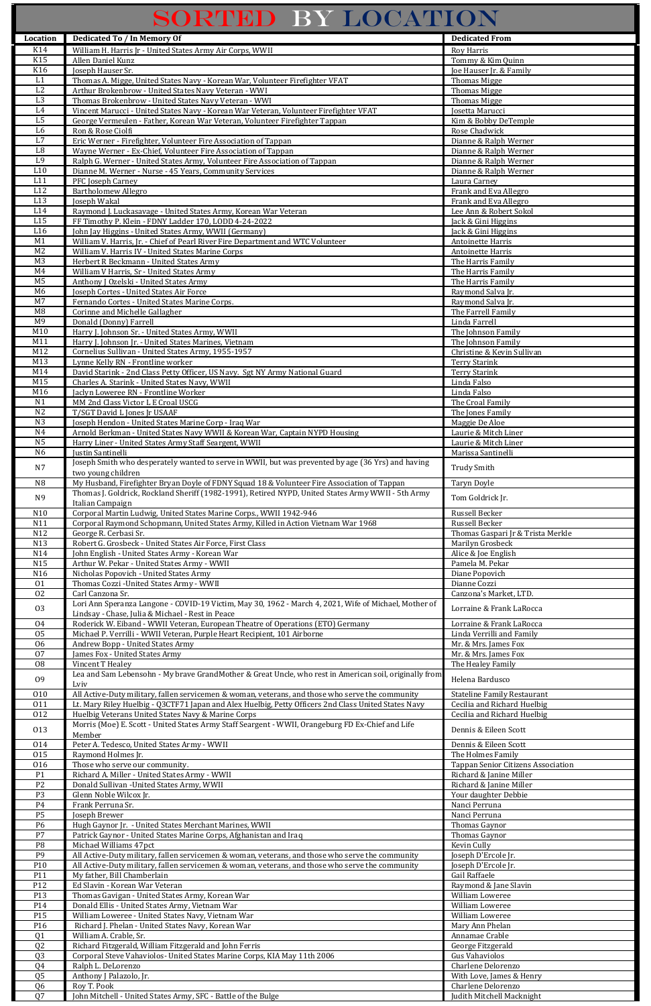## SORTED BY LOCATION

| Location                         | <b>Dedicated To / In Memory Of</b>                                                                                                                                   | <b>Dedicated From</b>                                      |
|----------------------------------|----------------------------------------------------------------------------------------------------------------------------------------------------------------------|------------------------------------------------------------|
| K14                              | William H. Harris Jr - United States Army Air Corps, WWII                                                                                                            | Roy Harris                                                 |
| K15                              | Allen Daniel Kunz                                                                                                                                                    | Tommy & Kim Quinn                                          |
| K16                              | Joseph Hauser Sr.                                                                                                                                                    | Joe Hauser Jr. & Family                                    |
| L1                               | Thomas A. Migge, United States Navy - Korean War, Volunteer Firefighter VFAT                                                                                         | <b>Thomas Migge</b>                                        |
| $\overline{L2}$                  | Arthur Brokenbrow - United States Navy Veteran - WWI                                                                                                                 | <b>Thomas Migge</b>                                        |
| L <sub>3</sub>                   | Thomas Brokenbrow - United States Navy Veteran - WWI                                                                                                                 | <b>Thomas Migge</b>                                        |
| $\operatorname{L4}$<br>L5        | Vincent Marucci - United States Navy - Korean War Veteran, Volunteer Firefighter VFAT<br>George Vermeulen - Father, Korean War Veteran, Volunteer Firefighter Tappan | Josetta Marucci<br>Kim & Bobby DeTemple                    |
| L <sub>6</sub>                   | Ron & Rose Ciolfi                                                                                                                                                    | Rose Chadwick                                              |
| L7                               | Eric Werner - Firefighter, Volunteer Fire Association of Tappan                                                                                                      | Dianne & Ralph Werner                                      |
| $^{\rm L8}$                      | Wayne Werner - Ex-Chief, Volunteer Fire Association of Tappan                                                                                                        | Dianne & Ralph Werner                                      |
| L <sub>9</sub>                   | Ralph G. Werner - United States Army, Volunteer Fire Association of Tappan                                                                                           | Dianne & Ralph Werner                                      |
| L10                              | Dianne M. Werner - Nurse - 45 Years, Community Services                                                                                                              | Dianne & Ralph Werner                                      |
| L11                              | PFC Joseph Carney                                                                                                                                                    | Laura Carney                                               |
| L12<br>L13                       | <b>Bartholomew Allegro</b>                                                                                                                                           | Frank and Eva Allegro                                      |
| L14                              | Joseph Wakal<br>Raymond J. Luckasavage - United States Army, Korean War Veteran                                                                                      | Frank and Eva Allegro<br>Lee Ann & Robert Sokol            |
| L15                              | FF Timothy P. Klein - FDNY Ladder 170, LODD 4-24-2022                                                                                                                | Jack & Gini Higgins                                        |
| L16                              | John Jay Higgins - United States Army, WWII (Germany)                                                                                                                | Jack & Gini Higgins                                        |
| M1                               | William V. Harris, Jr. - Chief of Pearl River Fire Department and WTC Volunteer                                                                                      | Antoinette Harris                                          |
| M <sub>2</sub>                   | William V. Harris IV - United States Marine Corps                                                                                                                    | Antoinette Harris                                          |
| M <sub>3</sub>                   | Herbert R Beckmann - United States Army                                                                                                                              | The Harris Family                                          |
| M4                               | William V Harris, Sr - United States Army                                                                                                                            | The Harris Family                                          |
| M <sub>5</sub><br>M <sub>6</sub> | Anthony J Ozelski - United States Army<br>Joseph Cortes - United States Air Force                                                                                    | The Harris Family<br>Raymond Salva Jr.                     |
| M7                               | Fernando Cortes - United States Marine Corps.                                                                                                                        | Raymond Salva Jr.                                          |
| M8                               | Corinne and Michelle Gallagher                                                                                                                                       | The Farrell Family                                         |
| M <sub>9</sub>                   | Donald (Donny) Farrell                                                                                                                                               | Linda Farrell                                              |
| M10                              | Harry J. Johnson Sr. - United States Army, WWII                                                                                                                      | The Johnson Family                                         |
| M11                              | Harry J. Johnson Jr. - United States Marines, Vietnam                                                                                                                | The Johnson Family                                         |
| M12                              | Cornelius Sullivan - United States Army, 1955-1957                                                                                                                   | Christine & Kevin Sullivan                                 |
| M13<br>$\overline{M}14$          | Lynne Kelly RN - Frontline worker<br>David Starink - 2nd Class Petty Officer, US Navy. Sgt NY Army National Guard                                                    | <b>Terry Starink</b>                                       |
| M15                              | Charles A. Starink - United States Navy, WWII                                                                                                                        | <b>Terry Starink</b><br>Linda Falso                        |
| M16                              | Jaclyn Loweree RN - Frontline Worker                                                                                                                                 | Linda Falso                                                |
| N <sub>1</sub>                   | MM 2nd Class Victor L E Croal USCG                                                                                                                                   | The Croal Family                                           |
| N <sub>2</sub>                   | T/SGT David L Jones Jr USAAF                                                                                                                                         | The Jones Family                                           |
| N3                               | Joseph Hendon - United States Marine Corp - Iraq War                                                                                                                 | Maggie De Aloe                                             |
| N <sub>4</sub>                   | Arnold Berkman - United States Navy WWII & Korean War, Captain NYPD Housing                                                                                          | Laurie & Mitch Liner                                       |
| N <sub>5</sub><br>N <sub>6</sub> | Harry Liner - United States Army Staff Seargent, WWII                                                                                                                | Laurie & Mitch Liner                                       |
|                                  | Justin Santinelli<br>Joseph Smith who desperately wanted to serve in WWII, but was prevented by age (36 Yrs) and having                                              | Marissa Santinelli                                         |
| N7                               | two young children                                                                                                                                                   | <b>Trudy Smith</b>                                         |
| N <sub>8</sub>                   | My Husband, Firefighter Bryan Doyle of FDNY Squad 18 & Volunteer Fire Association of Tappan                                                                          | Taryn Doyle                                                |
| N <sub>9</sub>                   | Thomas J. Goldrick, Rockland Sheriff (1982-1991), Retired NYPD, United States Army WWII - 5th Army                                                                   |                                                            |
|                                  | Italian Campaign                                                                                                                                                     | Tom Goldrick Jr.                                           |
| N10                              | Corporal Martin Ludwig, United States Marine Corps., WWII 1942-946                                                                                                   | Russell Becker                                             |
| N11                              | Corporal Raymond Schopmann, United States Army, Killed in Action Vietnam War 1968                                                                                    | Russell Becker                                             |
| N12<br>N13                       | George R. Cerbasi Sr.<br>Robert G. Grosbeck - United States Air Force, First Class                                                                                   | Thomas Gaspari Jr & Trista Merkle<br>Marilyn Grosbeck      |
| N14                              | John English - United States Army - Korean War                                                                                                                       | Alice & Joe English                                        |
| N15                              | Arthur W. Pekar - United States Army - WWII                                                                                                                          | Pamela M. Pekar                                            |
| N16                              | Nicholas Popovich - United States Army                                                                                                                               | Diane Popovich                                             |
| 01                               | Thomas Cozzi - United States Army - WWII                                                                                                                             | Dianne Cozzi                                               |
| 02                               | Carl Canzona Sr.                                                                                                                                                     | Canzona's Market, LTD.                                     |
| 03                               | Lori Ann Speranza Langone - COVID-19 Victim, May 30, 1962 - March 4, 2021, Wife of Michael, Mother of                                                                | Lorraine & Frank LaRocca                                   |
| 04                               | Lindsay - Chase, Julia & Michael - Rest in Peace                                                                                                                     |                                                            |
| 05                               | Roderick W. Eiband - WWII Veteran, European Theatre of Operations (ETO) Germany<br>Michael P. Verrilli - WWII Veteran, Purple Heart Recipient, 101 Airborne          | Lorraine & Frank LaRocca<br>Linda Verrilli and Family      |
| 06                               | Andrew Bopp - United States Army                                                                                                                                     | Mr. & Mrs. James Fox                                       |
| 07                               | James Fox - United States Army                                                                                                                                       | Mr. & Mrs. James Fox                                       |
| 08                               | Vincent T Healey                                                                                                                                                     | The Healey Family                                          |
| 09                               | Lea and Sam Lebensohn - My brave GrandMother & Great Uncle, who rest in American soil, originally from                                                               | Helena Bardusco                                            |
|                                  | Lviv                                                                                                                                                                 |                                                            |
| 010                              | All Active-Duty military, fallen servicemen & woman, veterans, and those who serve the community                                                                     | <b>Stateline Family Restaurant</b>                         |
| 011<br>012                       | Lt. Mary Riley Huelbig - Q3CTF71 Japan and Alex Huelbig, Petty Officers 2nd Class United States Navy<br>Huelbig Veterans United States Navy & Marine Corps           | Cecilia and Richard Huelbig<br>Cecilia and Richard Huelbig |
|                                  | Morris (Moe) E. Scott - United States Army Staff Seargent - WWII, Orangeburg FD Ex-Chief and Life                                                                    |                                                            |
| 013                              | Member                                                                                                                                                               | Dennis & Eileen Scott                                      |
| 014                              | Peter A. Tedesco, United States Army - WWII                                                                                                                          | Dennis & Eileen Scott                                      |
| 015                              | Raymond Holmes Jr.                                                                                                                                                   | The Holmes Family                                          |
| 016                              | Those who serve our community.                                                                                                                                       | Tappan Senior Citizens Association                         |
| P <sub>1</sub>                   | Richard A. Miller - United States Army - WWII                                                                                                                        | Richard & Janine Miller                                    |
| P <sub>2</sub>                   | Donald Sullivan - United States Army, WWII                                                                                                                           | Richard & Janine Miller                                    |
| P <sub>3</sub><br>P <sub>4</sub> | Glenn Noble Wilcox Jr.<br>Frank Perruna Sr.                                                                                                                          | Your daughter Debbie<br>Nanci Perruna                      |
| P <sub>5</sub>                   | Joseph Brewer                                                                                                                                                        | Nanci Perruna                                              |
| P6                               | Hugh Gaynor Jr. - United States Merchant Marines, WWII                                                                                                               | Thomas Gaynor                                              |
| P7                               | Patrick Gaynor - United States Marine Corps, Afghanistan and Iraq                                                                                                    | Thomas Gaynor                                              |
| P <sub>8</sub>                   | Michael Williams 47pct                                                                                                                                               | Kevin Cully                                                |
| P9                               | All Active-Duty military, fallen servicemen & woman, veterans, and those who serve the community                                                                     | Joseph D'Ercole Jr.                                        |
| P10                              | All Active-Duty military, fallen servicemen & woman, veterans, and those who serve the community                                                                     | Joseph D'Ercole Jr.                                        |
| P11                              | My father, Bill Chamberlain                                                                                                                                          | Gail Raffaele                                              |
| P12<br>P13                       | Ed Slavin - Korean War Veteran<br>Thomas Gavigan - United States Army, Korean War                                                                                    | Raymond & Jane Slavin<br>William Loweree                   |
| P14                              | Donald Ellis - United States Army, Vietnam War                                                                                                                       | William Loweree                                            |
| P15                              | William Loweree - United States Navy, Vietnam War                                                                                                                    | William Loweree                                            |
| P16                              | Richard J. Phelan - United States Navy, Korean War                                                                                                                   | Mary Ann Phelan                                            |
| Q <sub>1</sub>                   | William A. Crable, Sr.                                                                                                                                               | Annamae Crable                                             |
| Q <sub>2</sub>                   | Richard Fitzgerald, William Fitzgerald and John Ferris                                                                                                               | George Fitzgerald                                          |
| Q <sub>3</sub>                   | Corporal Steve Vahaviolos- United States Marine Corps, KIA May 11th 2006                                                                                             | <b>Gus Vahaviolos</b>                                      |
| Q4                               | Ralph L. DeLorenzo                                                                                                                                                   | Charlene Delorenzo                                         |
| Q <sub>5</sub><br>Q <sub>6</sub> | Anthony J Palazolo, Jr.<br>Roy T. Pook                                                                                                                               | With Love, James & Henry<br>Charlene Delorenzo             |
|                                  | John Mitchell - United States Army, SFC - Battle of the Bulge                                                                                                        | Judith Mitchell Macknight                                  |